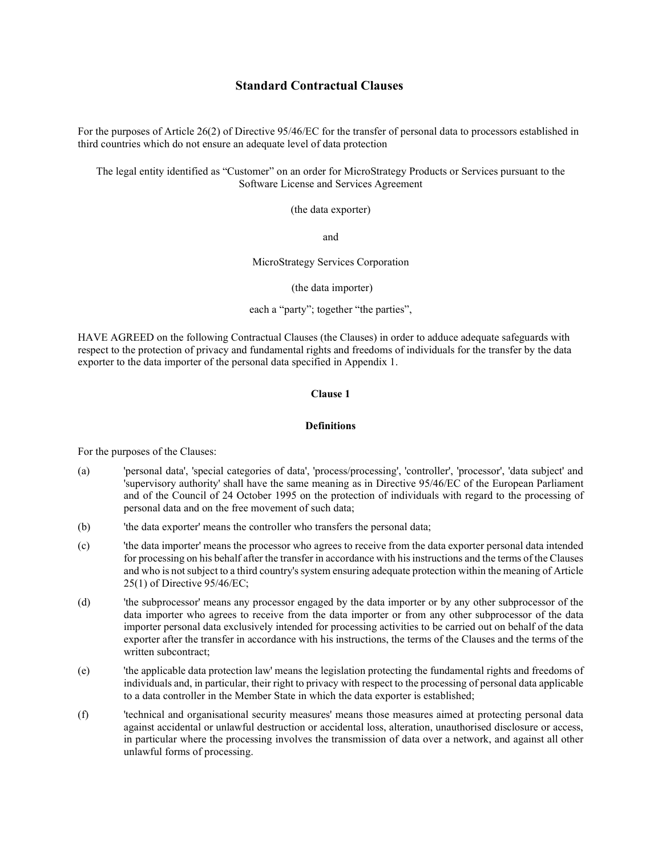# Standard Contractual Clauses

For the purposes of Article 26(2) of Directive 95/46/EC for the transfer of personal data to processors established in third countries which do not ensure an adequate level of data protection

The legal entity identified as "Customer" on an order for MicroStrategy Products or Services pursuant to the Software License and Services Agreement

(the data exporter)

and

MicroStrategy Services Corporation

(the data importer)

each a "party"; together "the parties",

HAVE AGREED on the following Contractual Clauses (the Clauses) in order to adduce adequate safeguards with respect to the protection of privacy and fundamental rights and freedoms of individuals for the transfer by the data exporter to the data importer of the personal data specified in Appendix 1.

# Clause 1

### **Definitions**

For the purposes of the Clauses:

- (a) 'personal data', 'special categories of data', 'process/processing', 'controller', 'processor', 'data subject' and 'supervisory authority' shall have the same meaning as in Directive 95/46/EC of the European Parliament and of the Council of 24 October 1995 on the protection of individuals with regard to the processing of personal data and on the free movement of such data;
- (b) 'the data exporter' means the controller who transfers the personal data;
- (c) 'the data importer' means the processor who agrees to receive from the data exporter personal data intended for processing on his behalf after the transfer in accordance with his instructions and the terms of the Clauses and who is not subject to a third country's system ensuring adequate protection within the meaning of Article 25(1) of Directive 95/46/EC;
- (d) 'the subprocessor' means any processor engaged by the data importer or by any other subprocessor of the data importer who agrees to receive from the data importer or from any other subprocessor of the data importer personal data exclusively intended for processing activities to be carried out on behalf of the data exporter after the transfer in accordance with his instructions, the terms of the Clauses and the terms of the written subcontract;
- (e) 'the applicable data protection law' means the legislation protecting the fundamental rights and freedoms of individuals and, in particular, their right to privacy with respect to the processing of personal data applicable to a data controller in the Member State in which the data exporter is established;
- (f) 'technical and organisational security measures' means those measures aimed at protecting personal data against accidental or unlawful destruction or accidental loss, alteration, unauthorised disclosure or access, in particular where the processing involves the transmission of data over a network, and against all other unlawful forms of processing.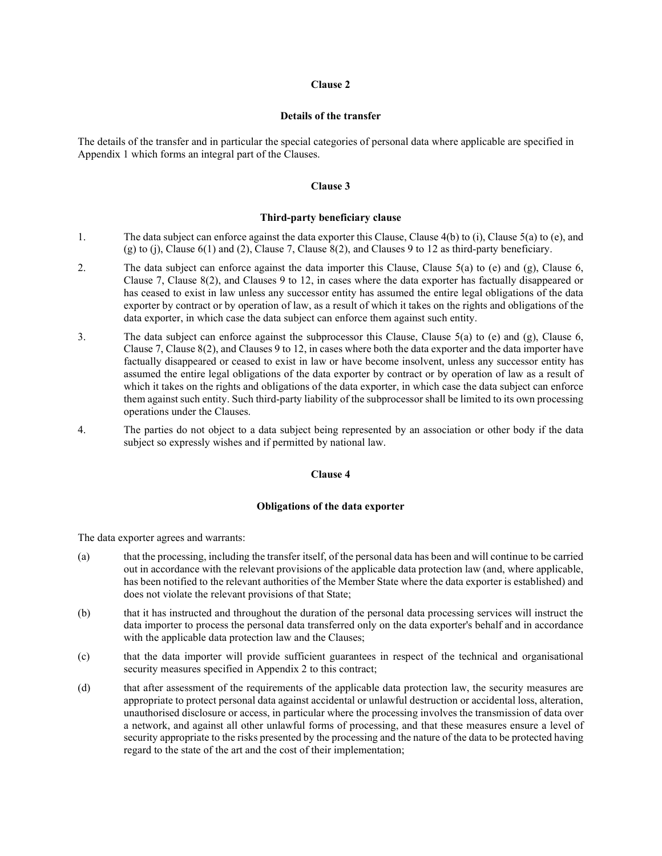#### Details of the transfer

The details of the transfer and in particular the special categories of personal data where applicable are specified in Appendix 1 which forms an integral part of the Clauses.

## Clause 3

#### Third-party beneficiary clause

- 1. The data subject can enforce against the data exporter this Clause, Clause 4(b) to (i), Clause 5(a) to (e), and (g) to (j), Clause 6(1) and (2), Clause 7, Clause 8(2), and Clauses 9 to 12 as third-party beneficiary.
- 2. The data subject can enforce against the data importer this Clause, Clause 5(a) to (e) and (g), Clause 6, Clause 7, Clause 8(2), and Clauses 9 to 12, in cases where the data exporter has factually disappeared or has ceased to exist in law unless any successor entity has assumed the entire legal obligations of the data exporter by contract or by operation of law, as a result of which it takes on the rights and obligations of the data exporter, in which case the data subject can enforce them against such entity.
- 3. The data subject can enforce against the subprocessor this Clause, Clause 5(a) to (e) and (g), Clause 6, Clause 7, Clause 8(2), and Clauses 9 to 12, in cases where both the data exporter and the data importer have factually disappeared or ceased to exist in law or have become insolvent, unless any successor entity has assumed the entire legal obligations of the data exporter by contract or by operation of law as a result of which it takes on the rights and obligations of the data exporter, in which case the data subject can enforce them against such entity. Such third-party liability of the subprocessor shall be limited to its own processing operations under the Clauses.
- 4. The parties do not object to a data subject being represented by an association or other body if the data subject so expressly wishes and if permitted by national law.

## Clause 4

# Obligations of the data exporter

The data exporter agrees and warrants:

- (a) that the processing, including the transfer itself, of the personal data has been and will continue to be carried out in accordance with the relevant provisions of the applicable data protection law (and, where applicable, has been notified to the relevant authorities of the Member State where the data exporter is established) and does not violate the relevant provisions of that State;
- (b) that it has instructed and throughout the duration of the personal data processing services will instruct the data importer to process the personal data transferred only on the data exporter's behalf and in accordance with the applicable data protection law and the Clauses;
- (c) that the data importer will provide sufficient guarantees in respect of the technical and organisational security measures specified in Appendix 2 to this contract;
- (d) that after assessment of the requirements of the applicable data protection law, the security measures are appropriate to protect personal data against accidental or unlawful destruction or accidental loss, alteration, unauthorised disclosure or access, in particular where the processing involves the transmission of data over a network, and against all other unlawful forms of processing, and that these measures ensure a level of security appropriate to the risks presented by the processing and the nature of the data to be protected having regard to the state of the art and the cost of their implementation;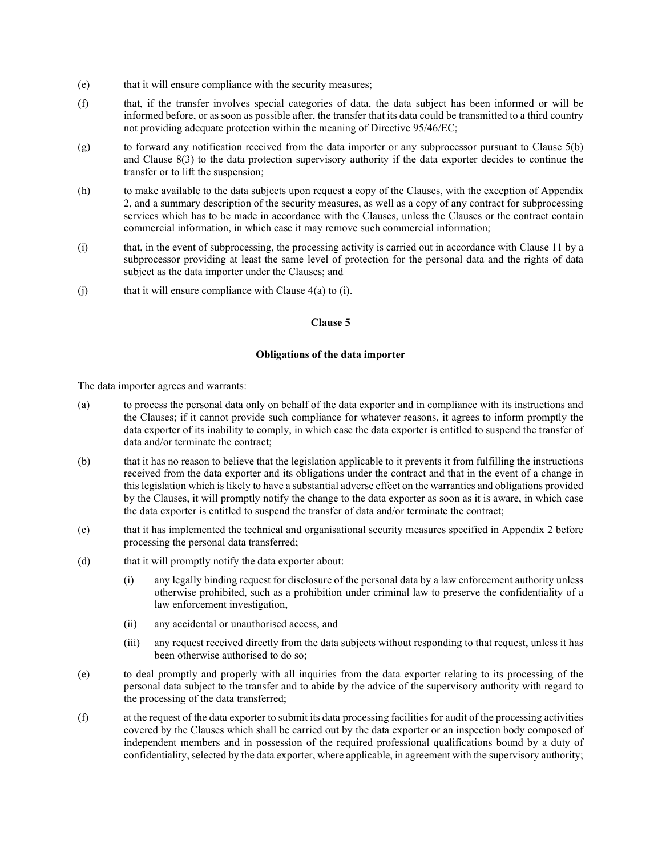- (e) that it will ensure compliance with the security measures;
- (f) that, if the transfer involves special categories of data, the data subject has been informed or will be informed before, or as soon as possible after, the transfer that its data could be transmitted to a third country not providing adequate protection within the meaning of Directive 95/46/EC;
- (g) to forward any notification received from the data importer or any subprocessor pursuant to Clause 5(b) and Clause 8(3) to the data protection supervisory authority if the data exporter decides to continue the transfer or to lift the suspension;
- (h) to make available to the data subjects upon request a copy of the Clauses, with the exception of Appendix 2, and a summary description of the security measures, as well as a copy of any contract for subprocessing services which has to be made in accordance with the Clauses, unless the Clauses or the contract contain commercial information, in which case it may remove such commercial information;
- (i) that, in the event of subprocessing, the processing activity is carried out in accordance with Clause 11 by a subprocessor providing at least the same level of protection for the personal data and the rights of data subject as the data importer under the Clauses; and
- (j) that it will ensure compliance with Clause  $4(a)$  to (i).

## Obligations of the data importer

The data importer agrees and warrants:

- (a) to process the personal data only on behalf of the data exporter and in compliance with its instructions and the Clauses; if it cannot provide such compliance for whatever reasons, it agrees to inform promptly the data exporter of its inability to comply, in which case the data exporter is entitled to suspend the transfer of data and/or terminate the contract;
- (b) that it has no reason to believe that the legislation applicable to it prevents it from fulfilling the instructions received from the data exporter and its obligations under the contract and that in the event of a change in this legislation which is likely to have a substantial adverse effect on the warranties and obligations provided by the Clauses, it will promptly notify the change to the data exporter as soon as it is aware, in which case the data exporter is entitled to suspend the transfer of data and/or terminate the contract;
- (c) that it has implemented the technical and organisational security measures specified in Appendix 2 before processing the personal data transferred;
- (d) that it will promptly notify the data exporter about:
	- (i) any legally binding request for disclosure of the personal data by a law enforcement authority unless otherwise prohibited, such as a prohibition under criminal law to preserve the confidentiality of a law enforcement investigation,
	- (ii) any accidental or unauthorised access, and
	- (iii) any request received directly from the data subjects without responding to that request, unless it has been otherwise authorised to do so;
- (e) to deal promptly and properly with all inquiries from the data exporter relating to its processing of the personal data subject to the transfer and to abide by the advice of the supervisory authority with regard to the processing of the data transferred;
- (f) at the request of the data exporter to submit its data processing facilities for audit of the processing activities covered by the Clauses which shall be carried out by the data exporter or an inspection body composed of independent members and in possession of the required professional qualifications bound by a duty of confidentiality, selected by the data exporter, where applicable, in agreement with the supervisory authority;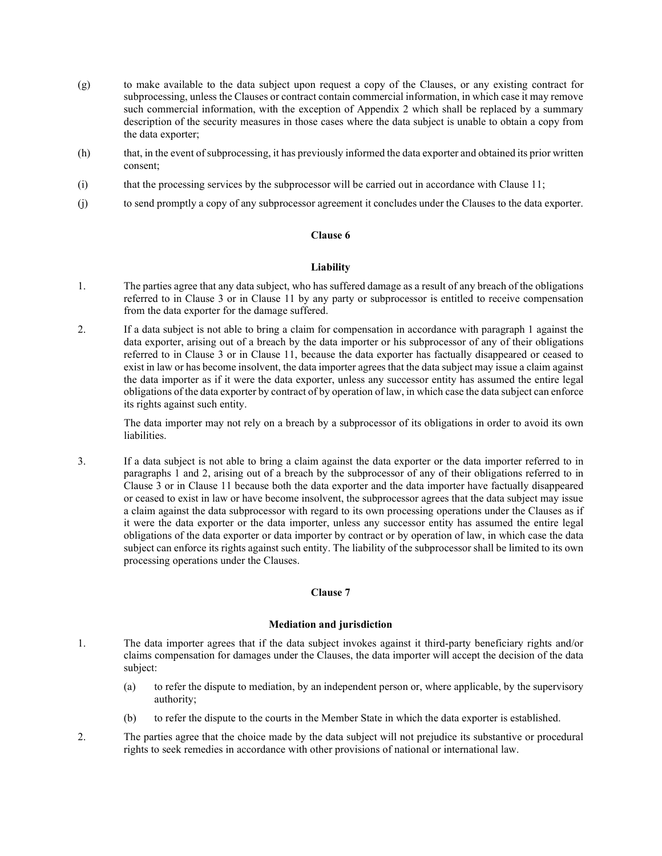- (g) to make available to the data subject upon request a copy of the Clauses, or any existing contract for subprocessing, unless the Clauses or contract contain commercial information, in which case it may remove such commercial information, with the exception of Appendix 2 which shall be replaced by a summary description of the security measures in those cases where the data subject is unable to obtain a copy from the data exporter;
- (h) that, in the event of subprocessing, it has previously informed the data exporter and obtained its prior written consent;
- (i) that the processing services by the subprocessor will be carried out in accordance with Clause 11;
- (j) to send promptly a copy of any subprocessor agreement it concludes under the Clauses to the data exporter.

# **Liability**

- 1. The parties agree that any data subject, who has suffered damage as a result of any breach of the obligations referred to in Clause 3 or in Clause 11 by any party or subprocessor is entitled to receive compensation from the data exporter for the damage suffered.
- 2. If a data subject is not able to bring a claim for compensation in accordance with paragraph 1 against the data exporter, arising out of a breach by the data importer or his subprocessor of any of their obligations referred to in Clause 3 or in Clause 11, because the data exporter has factually disappeared or ceased to exist in law or has become insolvent, the data importer agrees that the data subject may issue a claim against the data importer as if it were the data exporter, unless any successor entity has assumed the entire legal obligations of the data exporter by contract of by operation of law, in which case the data subject can enforce its rights against such entity.

The data importer may not rely on a breach by a subprocessor of its obligations in order to avoid its own liabilities.

3. If a data subject is not able to bring a claim against the data exporter or the data importer referred to in paragraphs 1 and 2, arising out of a breach by the subprocessor of any of their obligations referred to in Clause 3 or in Clause 11 because both the data exporter and the data importer have factually disappeared or ceased to exist in law or have become insolvent, the subprocessor agrees that the data subject may issue a claim against the data subprocessor with regard to its own processing operations under the Clauses as if it were the data exporter or the data importer, unless any successor entity has assumed the entire legal obligations of the data exporter or data importer by contract or by operation of law, in which case the data subject can enforce its rights against such entity. The liability of the subprocessor shall be limited to its own processing operations under the Clauses.

## Clause 7

# Mediation and jurisdiction

- 1. The data importer agrees that if the data subject invokes against it third-party beneficiary rights and/or claims compensation for damages under the Clauses, the data importer will accept the decision of the data subject:
	- (a) to refer the dispute to mediation, by an independent person or, where applicable, by the supervisory authority;
	- (b) to refer the dispute to the courts in the Member State in which the data exporter is established.
- 2. The parties agree that the choice made by the data subject will not prejudice its substantive or procedural rights to seek remedies in accordance with other provisions of national or international law.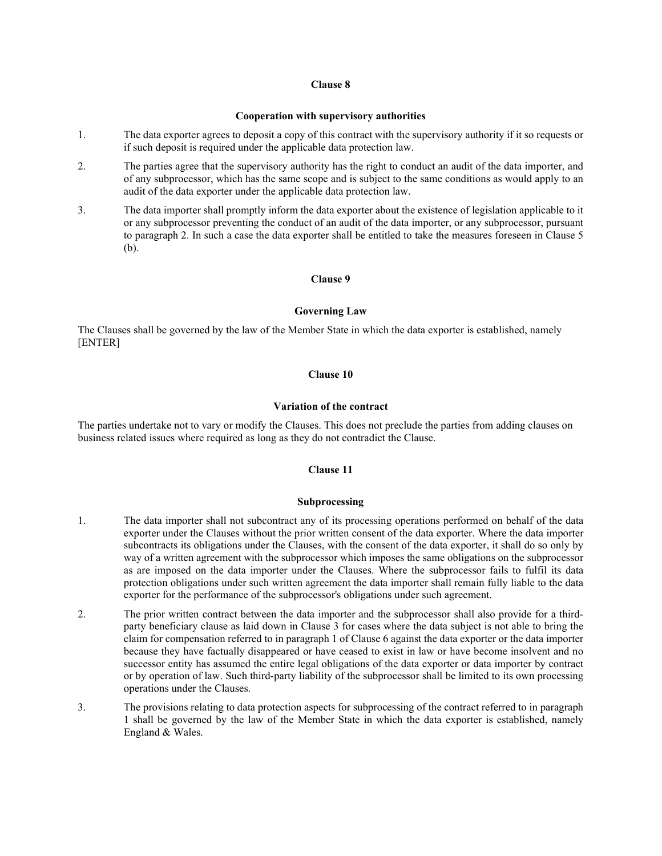#### Cooperation with supervisory authorities

- 1. The data exporter agrees to deposit a copy of this contract with the supervisory authority if it so requests or if such deposit is required under the applicable data protection law.
- 2. The parties agree that the supervisory authority has the right to conduct an audit of the data importer, and of any subprocessor, which has the same scope and is subject to the same conditions as would apply to an audit of the data exporter under the applicable data protection law.
- 3. The data importer shall promptly inform the data exporter about the existence of legislation applicable to it or any subprocessor preventing the conduct of an audit of the data importer, or any subprocessor, pursuant to paragraph 2. In such a case the data exporter shall be entitled to take the measures foreseen in Clause 5 (b).

# Clause 9

### Governing Law

The Clauses shall be governed by the law of the Member State in which the data exporter is established, namely [ENTER]

# Clause 10

# Variation of the contract

The parties undertake not to vary or modify the Clauses. This does not preclude the parties from adding clauses on business related issues where required as long as they do not contradict the Clause.

## Clause 11

#### Subprocessing

- 1. The data importer shall not subcontract any of its processing operations performed on behalf of the data exporter under the Clauses without the prior written consent of the data exporter. Where the data importer subcontracts its obligations under the Clauses, with the consent of the data exporter, it shall do so only by way of a written agreement with the subprocessor which imposes the same obligations on the subprocessor as are imposed on the data importer under the Clauses. Where the subprocessor fails to fulfil its data protection obligations under such written agreement the data importer shall remain fully liable to the data exporter for the performance of the subprocessor's obligations under such agreement.
- 2. The prior written contract between the data importer and the subprocessor shall also provide for a thirdparty beneficiary clause as laid down in Clause 3 for cases where the data subject is not able to bring the claim for compensation referred to in paragraph 1 of Clause 6 against the data exporter or the data importer because they have factually disappeared or have ceased to exist in law or have become insolvent and no successor entity has assumed the entire legal obligations of the data exporter or data importer by contract or by operation of law. Such third-party liability of the subprocessor shall be limited to its own processing operations under the Clauses.
- 3. The provisions relating to data protection aspects for subprocessing of the contract referred to in paragraph 1 shall be governed by the law of the Member State in which the data exporter is established, namely England & Wales.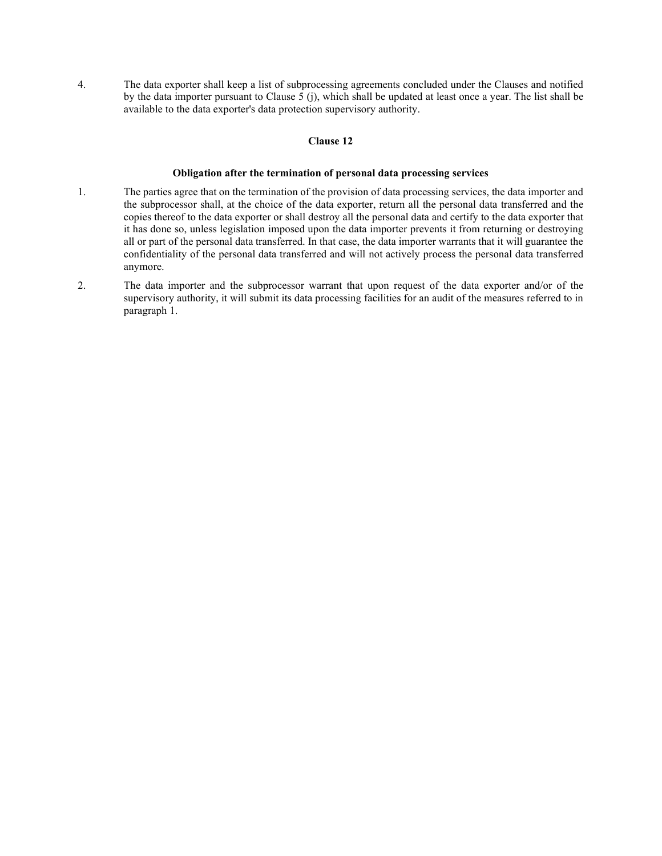4. The data exporter shall keep a list of subprocessing agreements concluded under the Clauses and notified by the data importer pursuant to Clause 5 (j), which shall be updated at least once a year. The list shall be available to the data exporter's data protection supervisory authority.

# Clause 12

## Obligation after the termination of personal data processing services

- 1. The parties agree that on the termination of the provision of data processing services, the data importer and the subprocessor shall, at the choice of the data exporter, return all the personal data transferred and the copies thereof to the data exporter or shall destroy all the personal data and certify to the data exporter that it has done so, unless legislation imposed upon the data importer prevents it from returning or destroying all or part of the personal data transferred. In that case, the data importer warrants that it will guarantee the confidentiality of the personal data transferred and will not actively process the personal data transferred anymore.
- 2. The data importer and the subprocessor warrant that upon request of the data exporter and/or of the supervisory authority, it will submit its data processing facilities for an audit of the measures referred to in paragraph 1.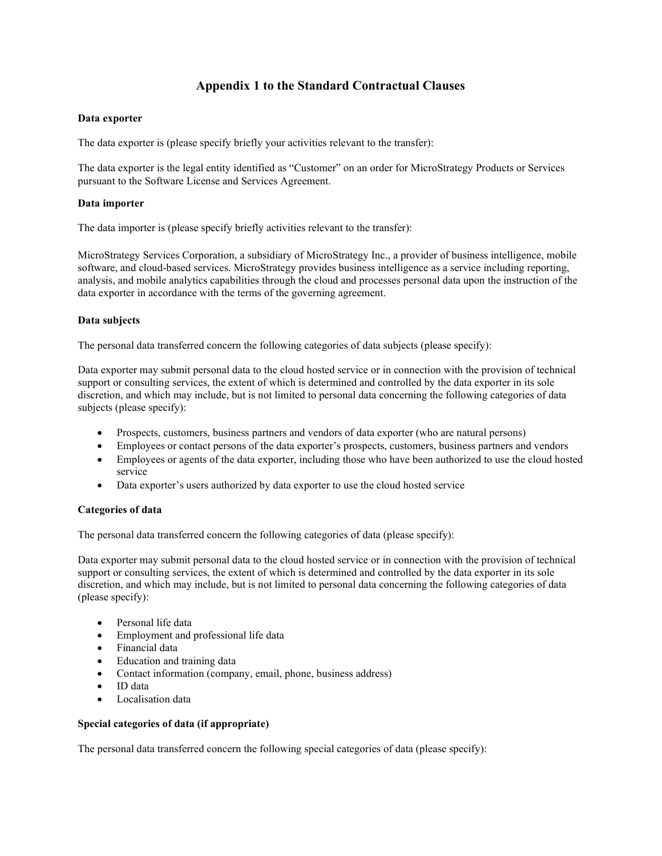# Appendix 1 to the Standard Contractual Clauses

# Data exporter

The data exporter is (please specify briefly your activities relevant to the transfer):

The data exporter is the legal entity identified as "Customer" on an order for MicroStrategy Products or Services pursuant to the Software License and Services Agreement.

# Data importer

The data importer is (please specify briefly activities relevant to the transfer):

MicroStrategy Services Corporation, a subsidiary of MicroStrategy Inc., a provider of business intelligence, mobile software, and cloud-based services. MicroStrategy provides business intelligence as a service including reporting, analysis, and mobile analytics capabilities through the cloud and processes personal data upon the instruction of the data exporter in accordance with the terms of the governing agreement.

# Data subjects

The personal data transferred concern the following categories of data subjects (please specify):

Data exporter may submit personal data to the cloud hosted service or in connection with the provision of technical support or consulting services, the extent of which is determined and controlled by the data exporter in its sole discretion, and which may include, but is not limited to personal data concerning the following categories of data subjects (please specify):

- Prospects, customers, business partners and vendors of data exporter (who are natural persons)
- Employees or contact persons of the data exporter's prospects, customers, business partners and vendors
- Employees or agents of the data exporter, including those who have been authorized to use the cloud hosted service
- Data exporter's users authorized by data exporter to use the cloud hosted service

# Categories of data

The personal data transferred concern the following categories of data (please specify):

Data exporter may submit personal data to the cloud hosted service or in connection with the provision of technical support or consulting services, the extent of which is determined and controlled by the data exporter in its sole discretion, and which may include, but is not limited to personal data concerning the following categories of data (please specify):

- Personal life data
- Employment and professional life data
- Financial data
- Education and training data
- Contact information (company, email, phone, business address)
- ID data
- Localisation data

## Special categories of data (if appropriate)

The personal data transferred concern the following special categories of data (please specify):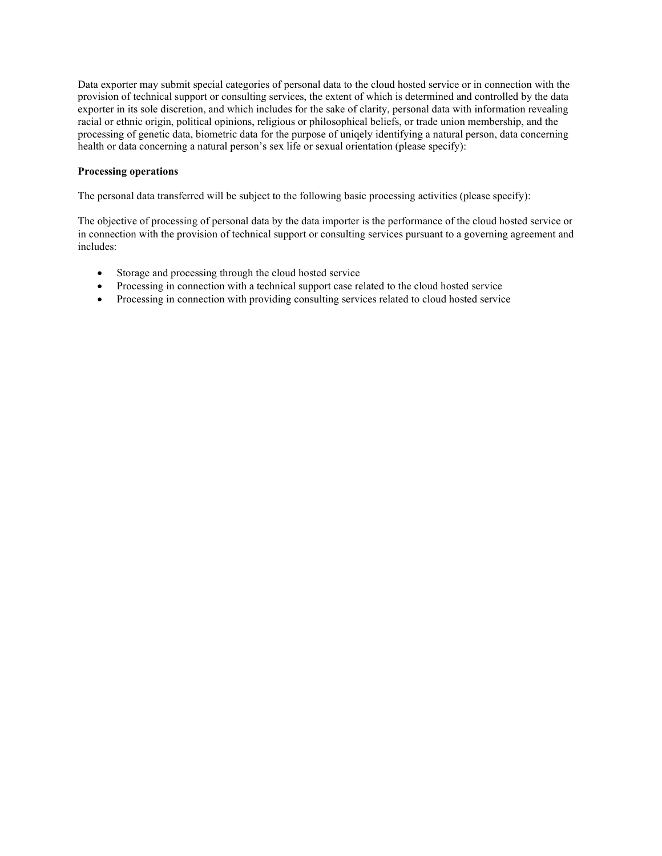Data exporter may submit special categories of personal data to the cloud hosted service or in connection with the provision of technical support or consulting services, the extent of which is determined and controlled by the data exporter in its sole discretion, and which includes for the sake of clarity, personal data with information revealing racial or ethnic origin, political opinions, religious or philosophical beliefs, or trade union membership, and the processing of genetic data, biometric data for the purpose of uniqely identifying a natural person, data concerning health or data concerning a natural person's sex life or sexual orientation (please specify):

# Processing operations

The personal data transferred will be subject to the following basic processing activities (please specify):

The objective of processing of personal data by the data importer is the performance of the cloud hosted service or in connection with the provision of technical support or consulting services pursuant to a governing agreement and includes:

- Storage and processing through the cloud hosted service
- Processing in connection with a technical support case related to the cloud hosted service
- Processing in connection with providing consulting services related to cloud hosted service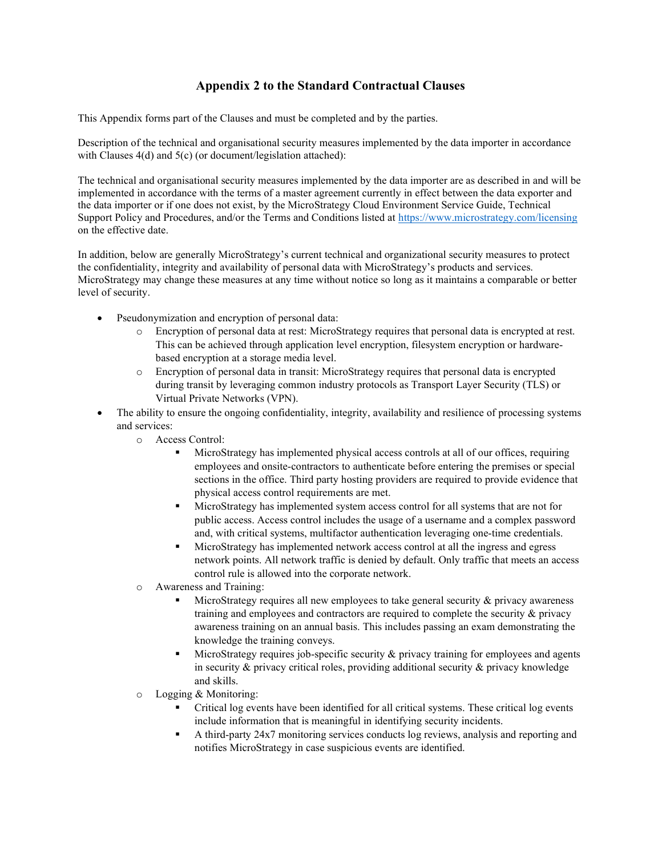# Appendix 2 to the Standard Contractual Clauses

This Appendix forms part of the Clauses and must be completed and by the parties.

Description of the technical and organisational security measures implemented by the data importer in accordance with Clauses 4(d) and 5(c) (or document/legislation attached):

The technical and organisational security measures implemented by the data importer are as described in and will be implemented in accordance with the terms of a master agreement currently in effect between the data exporter and the data importer or if one does not exist, by the MicroStrategy Cloud Environment Service Guide, Technical Support Policy and Procedures, and/or the Terms and Conditions listed at https://www.microstrategy.com/licensing on the effective date.

In addition, below are generally MicroStrategy's current technical and organizational security measures to protect the confidentiality, integrity and availability of personal data with MicroStrategy's products and services. MicroStrategy may change these measures at any time without notice so long as it maintains a comparable or better level of security.

- Pseudonymization and encryption of personal data:
	- o Encryption of personal data at rest: MicroStrategy requires that personal data is encrypted at rest. This can be achieved through application level encryption, filesystem encryption or hardwarebased encryption at a storage media level.
	- o Encryption of personal data in transit: MicroStrategy requires that personal data is encrypted during transit by leveraging common industry protocols as Transport Layer Security (TLS) or Virtual Private Networks (VPN).
- The ability to ensure the ongoing confidentiality, integrity, availability and resilience of processing systems and services:
	- o Access Control:
		- MicroStrategy has implemented physical access controls at all of our offices, requiring employees and onsite-contractors to authenticate before entering the premises or special sections in the office. Third party hosting providers are required to provide evidence that physical access control requirements are met.
		- MicroStrategy has implemented system access control for all systems that are not for public access. Access control includes the usage of a username and a complex password and, with critical systems, multifactor authentication leveraging one-time credentials.
		- MicroStrategy has implemented network access control at all the ingress and egress network points. All network traffic is denied by default. Only traffic that meets an access control rule is allowed into the corporate network.
	- o Awareness and Training:
		- MicroStrategy requires all new employees to take general security & privacy awareness training and employees and contractors are required to complete the security & privacy awareness training on an annual basis. This includes passing an exam demonstrating the knowledge the training conveys.
		- MicroStrategy requires job-specific security & privacy training for employees and agents in security & privacy critical roles, providing additional security & privacy knowledge and skills.
	- o Logging & Monitoring:
		- Critical log events have been identified for all critical systems. These critical log events include information that is meaningful in identifying security incidents.
		- A third-party 24x7 monitoring services conducts log reviews, analysis and reporting and notifies MicroStrategy in case suspicious events are identified.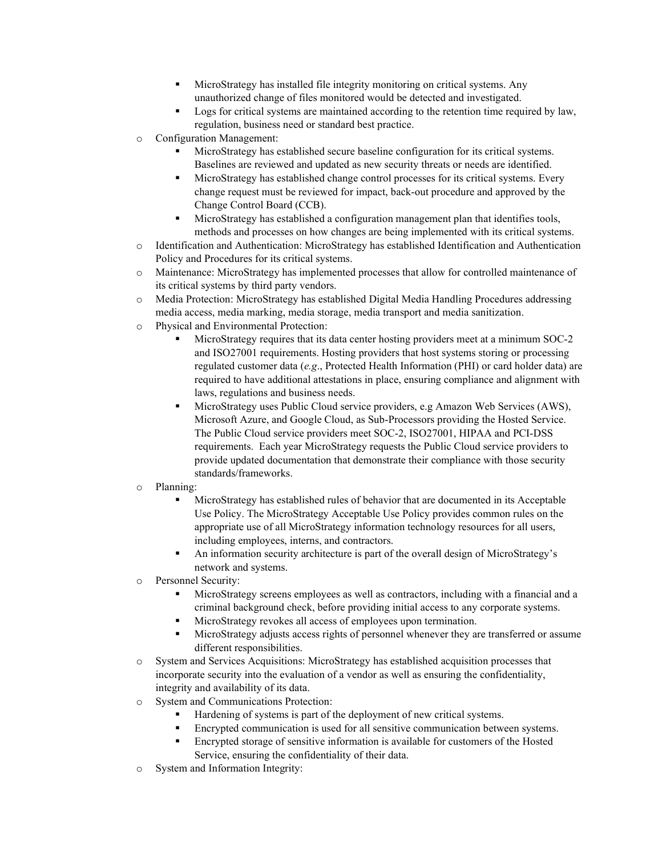- MicroStrategy has installed file integrity monitoring on critical systems. Any unauthorized change of files monitored would be detected and investigated.
- Logs for critical systems are maintained according to the retention time required by law, regulation, business need or standard best practice.
- o Configuration Management:
	- MicroStrategy has established secure baseline configuration for its critical systems. Baselines are reviewed and updated as new security threats or needs are identified.
	- MicroStrategy has established change control processes for its critical systems. Every change request must be reviewed for impact, back-out procedure and approved by the Change Control Board (CCB).
	- MicroStrategy has established a configuration management plan that identifies tools, methods and processes on how changes are being implemented with its critical systems.
- o Identification and Authentication: MicroStrategy has established Identification and Authentication Policy and Procedures for its critical systems.
- o Maintenance: MicroStrategy has implemented processes that allow for controlled maintenance of its critical systems by third party vendors.
- o Media Protection: MicroStrategy has established Digital Media Handling Procedures addressing media access, media marking, media storage, media transport and media sanitization.
- o Physical and Environmental Protection:
	- MicroStrategy requires that its data center hosting providers meet at a minimum SOC-2 and ISO27001 requirements. Hosting providers that host systems storing or processing regulated customer data (e.g., Protected Health Information (PHI) or card holder data) are required to have additional attestations in place, ensuring compliance and alignment with laws, regulations and business needs.
	- MicroStrategy uses Public Cloud service providers, e.g Amazon Web Services (AWS), Microsoft Azure, and Google Cloud, as Sub-Processors providing the Hosted Service. The Public Cloud service providers meet SOC-2, ISO27001, HIPAA and PCI-DSS requirements. Each year MicroStrategy requests the Public Cloud service providers to provide updated documentation that demonstrate their compliance with those security standards/frameworks.
- o Planning:
	- MicroStrategy has established rules of behavior that are documented in its Acceptable Use Policy. The MicroStrategy Acceptable Use Policy provides common rules on the appropriate use of all MicroStrategy information technology resources for all users, including employees, interns, and contractors.
	- An information security architecture is part of the overall design of MicroStrategy's network and systems.
- o Personnel Security:
	- MicroStrategy screens employees as well as contractors, including with a financial and a criminal background check, before providing initial access to any corporate systems.
	- MicroStrategy revokes all access of employees upon termination.
	- MicroStrategy adjusts access rights of personnel whenever they are transferred or assume different responsibilities.
- o System and Services Acquisitions: MicroStrategy has established acquisition processes that incorporate security into the evaluation of a vendor as well as ensuring the confidentiality, integrity and availability of its data.
- o System and Communications Protection:
	- Hardening of systems is part of the deployment of new critical systems.
	- Encrypted communication is used for all sensitive communication between systems.
	- Encrypted storage of sensitive information is available for customers of the Hosted Service, ensuring the confidentiality of their data.
- o System and Information Integrity: